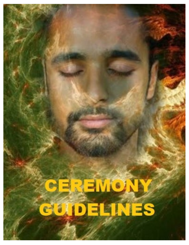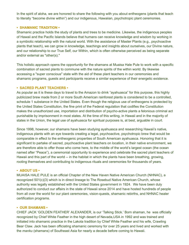In the spirit of aloha, we are honored to share the following with you about entheogens (plants that teach to literally "become divine within") and our indigenous, Hawaiian, psychotropic plant ceremonies.

## **• SHAMANIC TRADITION •**

Shamanic practice holds the study of plants and trees to be medicine. Likewise, the indigenous peoples of Hawaii and the Pacific Islands believe that humans can receive knowledge and wisdom by working in a symbiotic relationship with the natural world. With the assistance of Master Plants (e.g., psychoactive plants that teach), we can grow in knowledge, teachings and insights about ourselves, our Divine nature, and our relationship to our True Self, our Within, which is often otherwise perceived as being separate and/or external as "other(s)."

This holistic approach opens the opportunity for the shamans at Muaisa Hale Pule to work with a specific combination of sacred plants to commune with the nature spirits of the within world. By likewise accessing a "super conscious" state with the aid of these plant teachers in our ceremonies and shamanic programs, guests and participants receive a similar experience of their energetic existence.

#### **• SACRED PLANT TEACHERS •**

As popular as it is these days to travel to the Amazon to drink "ayahuasca" for this purpose, this highly publicized brew made from 2 or more South American rainforest plants is considered to be a controlled, schedule 1 substance in the United States. Even though the religious use of entheogens is protected by the United States Constitution, the fine print of the Federal regulation that codifies the Constitution makes the unauthorized use, importation and distribution of psycho-active plants a felonious criminal act punishable by imprisonment in most states. At the time of this writing, in Hawaii and in the majority of states in the Union, the legal use of ayahuasca for spiritual purposes is, at best, arguable in court.

Since 1998, however, our shamans have been studying ayahuasca and researching Hawaii's native, indigenous plants with an eye towards creating a legal, psychoactive, psychotropic brew that would be comparable in effect to the entheogenic properties of South American ayahuasca. Honoring that it is significant to partake of sacred, psychoactive plant teachers on location, in their native environment, we are therefore able to offer those who come here, to the middle of the world's largest ocean (the ocean named after "Peace"), a ceremonial opportunity to experience and celebrate the sacred plant teachers of Hawaii and this part of the world -- in the habitat in which the plants have been breathing, growing, rooting themselves and contributing to indigenous rituals and ceremonies for thousands of years.

## **• ABOUT US •**

MUAISA HALE PULE is an official Chapter of the New Haven Native American Church (NHNAC), a recognized 501(c)(3) which is in direct lineage to The Rosebud Native American Church, whose authority was legally established with the United States government in 1924. We have been duly authorized to conduct our affairs in the state of Hawaii since 2014 and have hosted hundreds of people from all over the world for our plant ceremonies, vision-quests, shamanic rebirths, and NHNAC healer certification programs.

#### **• OUR SHAMANS •**

CHIEF JACK 'GOLDEN FEATHER' ALEXANDER, is our 'Talking Stick.' Born shaman, he was officially recognized by Chief White Feather in the high desert of Nevada,USA in 1992 and was trained and initiated into shamanic practice in the Lakota tradition by Chief White Feather and his wife, Crawling Bear Claw. Jack has been officiating shamanic ceremony for over 25 years and lived and worked with the *manku* (shamans) of Southeast Asia for nearly a decade before coming to Hawaii.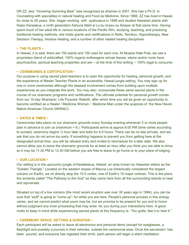DR ZZ, aka: "Hovering Humming Bear" was recognized as shaman in 2001. She has a Ph.D. in Counseling with specialties in natural healing and Food as Medicine. Since 1988, ZZ has lived in Hawaii for close to 20 years. She began working with ayahuasca in 1998 and studied Hawaiian plants with Kaipo Kaneakua, a ninth generation *Kahuna Mahi ai Lu'au la'peu au Keeper* at that same time*.* Having spent much of her adult life in various locations of the Pacific Rim, studying, teaching, and practicing traditional healing methods, she holds grants and certifications in Reiki, Tenrikyo, Hypnotherapy, New Decision Therapy, Intuitive Healing, and a number of other related healing disciplines.

#### **• THE PLANTS •**

In Hawaii, it is said, there are 150 plants and 150 uses for each one. At Muaisa Hale Pule, we use a proprietary blend of wildcrafted, 100% organic entheogens whose leaves, stems and/or roots have psychoactive, spiritual teaching properties and are -- at the time of this writing -- 100% legal to consume.

# **• CEREMONIES & CERTIFICATION •**

Our purpose in using sacred plant teachers is to open the opportunity for healing, personal growth, and the experience of Master Teacher Plants in an accessible, Hawaii jungle setting. You may sign up for one or more ceremonies although the deepest involvement comes from building upon multiple experiences as you integrate this work. You may also incorporate these same sacred plants in the course of our shamanic programs and certifications. The ultimate potential for personal growth comes from our 10-day Shamanic 'Life Purpose' Rebirth, after which time you will be given an opportunity to become certified as a Healer / Medicine Woman / Medicine Man under the auspices of the New Haven Native American Church (NHNAC).

## **• DATES & TIMES •**

Ceremonies take place on our shamanic grounds every Sunday evening whenever 2 or more people plan in advance to join us (maximum = 8.) Participants arrive at approx 6:00 PM (time varies according to sunset); ceremony begins ½ hour later and lasts for 4-5 hours. There can be no late arrivals, and we ask that you do not arrive too early. If something happens to prevent you from getting here at the designated arrival time, you will be refused entry and invited to reschedule for a later date. We also cannot allow you to leave the shamanic grounds for at least an hour after you think you are able to drive; so it may be 11:30 PM to 12:30 AM before you are free to leave to go home or to your place of lodging.

## **• OUR LOCATION •**

Our setting is in the upcountry jungle of Kealakekua, Hawaii, an area known by Hawaiian elders as the "Golden Triangle." Located on the western slopes of Mauna Loa (historically considered the largest volcano on Earth), we sit directly atop the 19.5 vortex, one of Earth's 10 major vortices. This is the place the ancients called "The Pathway to the God" as they came here from all the surrounding islands to heal and rejuvenate.

Situated on top of a live volcano (the most recent eruption was over 30 years ago in 1984), you can be sure that "stuff" is going to "come up": for while you are here. People's personal process in this energy varies, and we cannot predict what yours may be; but we promise to be present for you and to honor without judgment any inner processing that may arise for you during your interactions here. A good motto to keep in mind while experiencing sacred plants at this frequency is: *"You gotta; feel it to heal it."*

## **• CEREMONY SPACE, SETTING & DURATION •**

Each participant will be asked to leave all electronics and personal items (except for eyeglasses, a flashlight and possibly a journal) in their vehicles, outside the ceremonial area. Once the sacrament has been poured, and everyone has ingested their drink, each person will begin a silent meditation.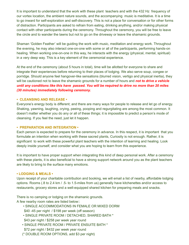It is important to understand that the work with these plant teachers and with the 432 Hz frequency of our vortex location, the ambient nature sounds, and the accompanying music is meditative. It is a time to go inward for self-exploration and self-discovery. This is not a place for conversation or for other forms of distraction. Participants are asked to refrain from eating, drinking anything, and/or making physical contact with other participants during the ceremony. Throughout the ceremony, you will be free to leave the circle and to wander the lawns but not to go on the driveway or leave the shamanic grounds.

Shaman 'Golden Feather' will be guiding the work with music, meditation and energy work. Throughout the evening, he may also interact one-on-one with some or all of the participants, performing hands-on healing. When working one-on-one in this way, he interacts with the energy (physical, mental, spiritual) in a very deep way. This is a key element of the ceremonial experience.

At the end of the ceremony (about 5 hours in total), time will be allotted for everyone to share and integrate their experiences before returning to their places of lodging. We also serve soup, congee or porridge. Should anyone feel hangover-like sensations (blurred vision, vertigo and physical inertia), they will be cautioned not to leave the shamanic grounds for a number of hours and *not to drive a vehicle until any conditions like this have passed. You will be required to drive no more than 20 miles (30 minutes) immediately following ceremony.*

# **• CLEANSING AND RELEASE •**

Everyone's energy body is different; and there are many ways for people to release and let go of energy. Shaking, yawning, laughing, crying, peeing, pooping and regurgitating are among the most common. It doesn't matter whether you do any or all of these things; it is impossible to predict a person's mode of cleansing. If you feel the need, just let it happen.

## **• PREPARATION AND INTEGRATION •**

Each person is expected to prepare for the ceremony in advance. In this respect, it is important that you formulate an intention when working with these sacred plants, Curiosity is not enough. Rather, it is significant to work with these powerful plant teachers with the intention of learning and healing. Look deeply inside yourself, and consider what you are hoping to learn from this experience.

It is important to have proper support when integrating this kind of deep personal work. After a ceremony with these plants, it is also beneficial to have a strong support network around you as the plant teachers are likely to bring to the surface many emotions.

## **• LODGING & MEALS •**

Upon receipt of your charitable contribution and booking, we will email a list of nearby, affordable lodging options. Rooms (.8 to 2.4 km / .5- to 1.5-miles from us) generally have kitchenettes and/or access to restaurants, grocery stores and a well-equipped shared kitchen for preparing meals and snacks.

There is no camping or lodging on the shamanic grounds.

A few nearby room rates are listed below::

- SINGLE ACCOMMODATIONS IN FEMALE OR MIXED DORM
- \$40 -45 per night / \$198 per week (off season)
- SINGLE PRIVATE ROOM / DETACHED, SHARED BATH \*
- \$43 per night / \$258 per week year round
- SINGLE PRIVATE ROOM / PRIVATE ENSUITE BATH \* \$72 per night / \$432 per week year round
- (\* DOUBLE ROOM OPTIONS, add \$3 per night)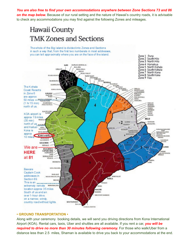*You are also free to find your own accommodations anywhere between Zone Sections 73 and 86 on the map below.* Because of our rural setting and the nature of Hawaii's country roads, it is advisable to check any accommodations you may find against the following Zones and mileages.

# Hawaii County **TMK Zones and Sections**

The whole of the Big Ialand is divided into Zones and Sections in such a way that, from the first two numberals in most addresses, you can tell approximatly where you are on the face of the island.



# **• GROUND TRANSPORTATION •**

Along with your ceremony booking details, we will send you driving directions from Kona International Airport (KOA). Rental cars, taxis, Uber and shuttles are all available. If you rent a car, *you will be required to drive no more than 30 minutes following ceremony.* For those who walk/Uber from a distance less than 2.5 miles, Shaman is available to drive you back to your accommodations at the end.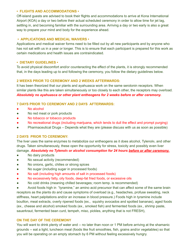## **• FLIGHTS AND ACCOMMODATIONS •**

Off-island guests are advised to book their flights and accommodations to arrive at Kona International Airport (KOA) a day or two before their actual scheduled ceremony in order to allow time for jet lag, settling in, and becoming familiar with the surrounding area. Arriving a day or two early is also a great way to prepare your mind and body for the experience ahead.

## **• APPLICATIONS AND MEDICAL WAIVERS •**

Applications and medical waiver forms need to be filled out by all new participants and by anyone who has not sat with us in a year or longer. This is to ensure that each participant is prepared for this work as certain medications and health issues are contraindicated.

## **• DIETARY GUIDELINES •**

To avoid physical discomfort and/or counteracting the effect of the plants, it is strongly recommended that, in the days leading up to and following the ceremony, you follow the dietary guidelines below.

# **2 WEEKS PRIOR TO CEREMONY AND 2 WEEKS AFTERWARDS:**

It has been theorized that our plants and ayahuasca work on the same serotonin receptors. When similar plants like this are taken simultaneously or too closely to each other, the receptors may overload. *Absolutely no ayahuasca or other plant entheogens for 2 weeks before or after ceremony.*

# **7 DAYS PRIOR TO CEREMONY AND 2 DAYS AFTERWARDS:**

- No alcohol
- No red meat or pork products
- No tobacco or tobacco products
- No recreational drugs (including marijuana, which tends to dull the effect and prompt purging)
- Pharmaceutical Drugs Depends what they are (please discuss with us as soon as possible)

## **2 DAYS PRIOR TO CEREMONY:**

The liver uses the same enzymes to metabolize our entheogens as it does alcohol, Tylenol®, and other drugs. Taken simultaneously, these open the opportunity for stress, toxicity and possibly even liver damage. *Absolutely no Tylenol® or alcohol consumption for 24 hours before or after ceremony.*

- No dairy products
- No sexual activity (recommended)
- No onions, garlic, chilies or strong spices
- No sugar (including sugar in processed foods)
- No salt (including high amounts of salt in processed foods)
- No excessively fatty, oily foods, deep-fat fried foods, or excessive oils
- No cold drinks (meaning chilled beverages; room temp. is recommended)

Avoid foods high in "tyramine," an amino acid precursor that can affect some of the same brain receptors as the plants do and cause symptoms of overload (e.g., headaches, profuse sweating, neck stiffness, heart palpitations and/or an increase in blood pressure.) Foods high in tyramine include bouillon, meat extracts, overly ripened foods (ex., squishy avocados and spotted bananas), aged foods (ex., cheese and alcohol) smoked foods (ex., smoked fish) and fermented foods (ex., shrimp paste, sauerkraut, fermented bean curd, tempeh, miso, pickles, anything that is not FRESH),

# **ON THE DAY OF THE CEREMONY**

You will want to drink plenty of water and -- no later than noon or 1 PM before arriving at the shamanic grounds -- eat a light, luncheon meal (foods like fruit smoothies, fish, grains and/or vegetables) so that you will be operating on an empty stomach by 6 PM without feeling excessively hungry.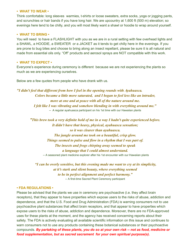#### **• WHAT TO WEAR •**

Think comfortable: long sleeves warmies, t-shirts or loose sweaters, extra socks, yoga or jogging pants, and scrunchies or hair bands if you have long hair. We are upcountry at 1,600 ft (500 m) elevation; so evenings here tend to be chilly, and you will most likely want a shawl or hoodie to wrap around yourself.

#### **• WHAT TO BRING •**

You will need to have a FLASHLIGHT with you as we are in a rural setting with few overhead lights and a SHAWL, a HOODIE, a SWEATER or a JACKET as it tends to get chilly here in the evenings. If you are prone to bug bites and choose to bring along an insect repellant, please be sure it is all natural and made from essential oils only. "Off" products and aerosol sprays are NOT compatible with this work.

#### **• WHAT TO EXPECT •**

Everyone's experience during ceremony is different because we are not experiencing the plants so much as we are experiencing ourselves.

Below are a few quotes from people who have drank with us.

*"I didn't feel that different from how I feel in the opening rounds with Ayahuasca. Colors became a little more saturated, and I began to feel less like an intruder, more at one and at peace with all of the nature around me. I felt like I was vibrating and somehow blending in with everything around me."* -- A regular ayahuasca participant on his 1st time with our Hawaiian plants

*"This brew took a very definite hold of me in a way I hadn't quite experienced before. It didn't have that heavy, physical, ayahuasca sensation; so it was clearer than ayahuasca. The jungle around me took on a beautiful, crisp glow. Things seemed to pulse and flow in a rhythm that I was part of. The insects and frogs chirping away seemed to speak a language that I could almost understand.* -- A seasoned plant medicine explorer after his 1st encounter with our Hawaiian plants

*"I can be overly sensitive, but this evening made me want to cry at its simplicity, at it's stark and silent beauty, where everything seemed to be in perfect alignment and perfect harmony."* -- A first-time Sacred Plant Ceremony participant

#### **• FDA REGULATIONS •**

Please be advised that the plants we use in ceremony are psychoactive (i.e. they affect brain receptors), that they appear to have properties which expose users to the risks of abuse, addiction and dependence, and that the U.S. Food and Drug Administration (FDA) is warning consumers not to use psychoactive plant substances that affect brain receptors, and that appear to have properties which expose users to the risks of abuse, addiction and dependence. Moreover, there are no FDA-approved uses for these plants at the moment, and the agency has received concerning reports about their safety. The FDA is actively evaluating all available scientific information on this issue and continues to warn consumers not to use any products containing these botanical substances or their psychoactive compounds. *By partaking of these plants, you do so at your own risk -- not as food, medicine or food supplementation, but as sacred sacrament for your own spiritual purpose(s).*